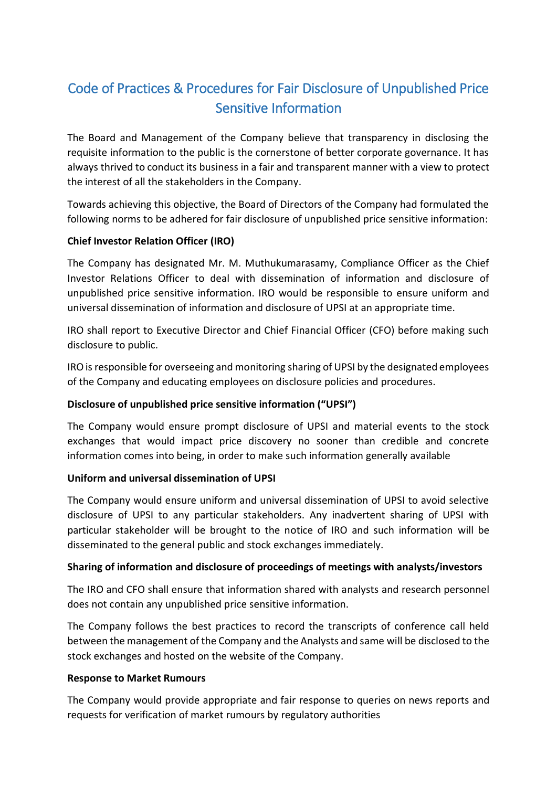# Code of Practices & Procedures for Fair Disclosure of Unpublished Price Sensitive Information

The Board and Management of the Company believe that transparency in disclosing the requisite information to the public is the cornerstone of better corporate governance. It has always thrived to conduct its business in a fair and transparent manner with a view to protect the interest of all the stakeholders in the Company.

Towards achieving this objective, the Board of Directors of the Company had formulated the following norms to be adhered for fair disclosure of unpublished price sensitive information:

## **Chief Investor Relation Officer (IRO)**

The Company has designated Mr. M. Muthukumarasamy, Compliance Officer as the Chief Investor Relations Officer to deal with dissemination of information and disclosure of unpublished price sensitive information. IRO would be responsible to ensure uniform and universal dissemination of information and disclosure of UPSI at an appropriate time.

IRO shall report to Executive Director and Chief Financial Officer (CFO) before making such disclosure to public.

IRO is responsible for overseeing and monitoring sharing of UPSI by the designated employees of the Company and educating employees on disclosure policies and procedures.

#### **Disclosure of unpublished price sensitive information ("UPSI")**

The Company would ensure prompt disclosure of UPSI and material events to the stock exchanges that would impact price discovery no sooner than credible and concrete information comes into being, in order to make such information generally available

#### **Uniform and universal dissemination of UPSI**

The Company would ensure uniform and universal dissemination of UPSI to avoid selective disclosure of UPSI to any particular stakeholders. Any inadvertent sharing of UPSI with particular stakeholder will be brought to the notice of IRO and such information will be disseminated to the general public and stock exchanges immediately.

#### **Sharing of information and disclosure of proceedings of meetings with analysts/investors**

The IRO and CFO shall ensure that information shared with analysts and research personnel does not contain any unpublished price sensitive information.

The Company follows the best practices to record the transcripts of conference call held between the management of the Company and the Analysts and same will be disclosed to the stock exchanges and hosted on the website of the Company.

#### **Response to Market Rumours**

The Company would provide appropriate and fair response to queries on news reports and requests for verification of market rumours by regulatory authorities